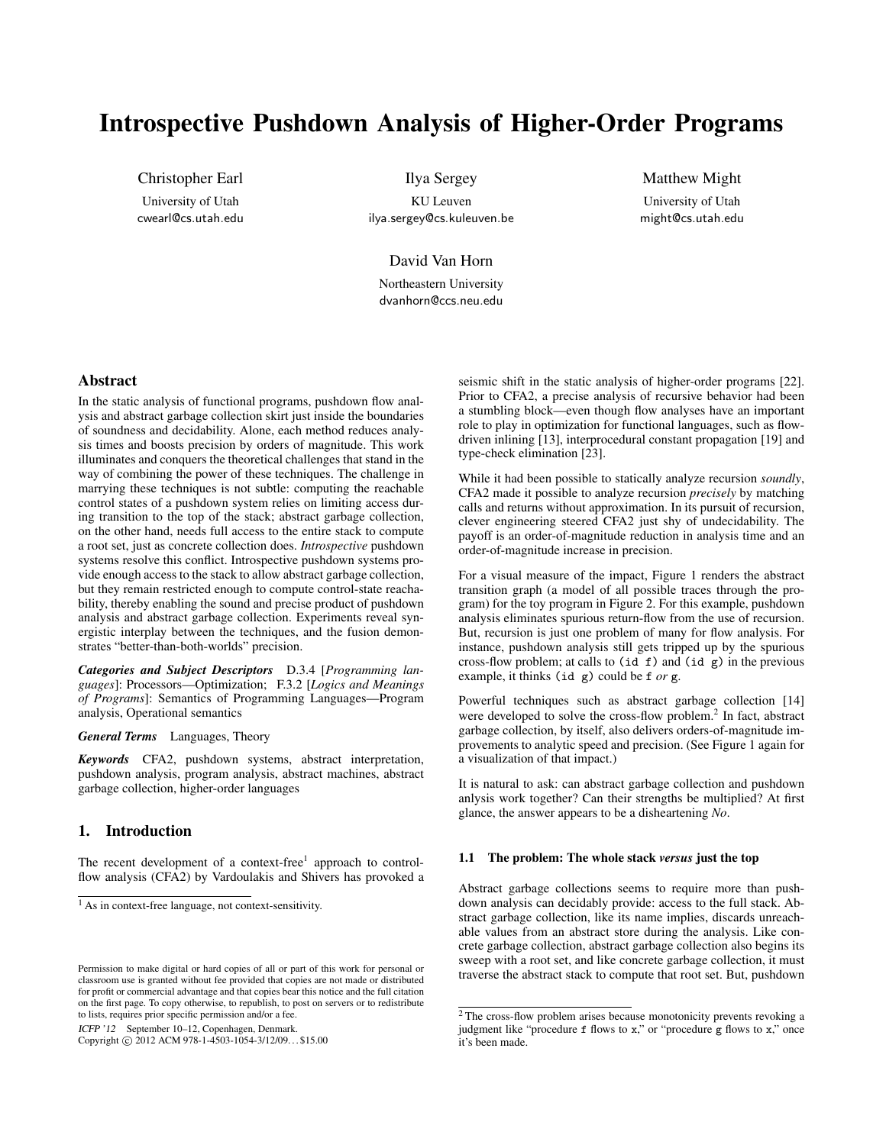# Introspective Pushdown Analysis of Higher-Order Programs

Christopher Earl University of Utah cwearl@cs.utah.edu

Ilya Sergey KU Leuven ilya.sergey@cs.kuleuven.be

Matthew Might University of Utah might@cs.utah.edu

David Van Horn Northeastern University dvanhorn@ccs.neu.edu

# Abstract

In the static analysis of functional programs, pushdown flow analysis and abstract garbage collection skirt just inside the boundaries of soundness and decidability. Alone, each method reduces analysis times and boosts precision by orders of magnitude. This work illuminates and conquers the theoretical challenges that stand in the way of combining the power of these techniques. The challenge in marrying these techniques is not subtle: computing the reachable control states of a pushdown system relies on limiting access during transition to the top of the stack; abstract garbage collection, on the other hand, needs full access to the entire stack to compute a root set, just as concrete collection does. *Introspective* pushdown systems resolve this conflict. Introspective pushdown systems provide enough access to the stack to allow abstract garbage collection, but they remain restricted enough to compute control-state reachability, thereby enabling the sound and precise product of pushdown analysis and abstract garbage collection. Experiments reveal synergistic interplay between the techniques, and the fusion demonstrates "better-than-both-worlds" precision.

*Categories and Subject Descriptors* D.3.4 [*Programming languages*]: Processors—Optimization; F.3.2 [*Logics and Meanings of Programs*]: Semantics of Programming Languages—Program analysis, Operational semantics

*General Terms* Languages, Theory

*Keywords* CFA2, pushdown systems, abstract interpretation, pushdown analysis, program analysis, abstract machines, abstract garbage collection, higher-order languages

# 1. Introduction

The recent development of a context-free<sup>1</sup> approach to controlflow analysis (CFA2) by Vardoulakis and Shivers has provoked a

ICFP '12 September 10–12, Copenhagen, Denmark.

Copyright © 2012 ACM 978-1-4503-1054-3/12/09... \$15.00

seismic shift in the static analysis of higher-order programs [22]. Prior to CFA2, a precise analysis of recursive behavior had been a stumbling block—even though flow analyses have an important role to play in optimization for functional languages, such as flowdriven inlining [13], interprocedural constant propagation [19] and type-check elimination [23].

While it had been possible to statically analyze recursion *soundly*, CFA2 made it possible to analyze recursion *precisely* by matching calls and returns without approximation. In its pursuit of recursion, clever engineering steered CFA2 just shy of undecidability. The payoff is an order-of-magnitude reduction in analysis time and an order-of-magnitude increase in precision.

For a visual measure of the impact, Figure 1 renders the abstract transition graph (a model of all possible traces through the program) for the toy program in Figure 2. For this example, pushdown analysis eliminates spurious return-flow from the use of recursion. But, recursion is just one problem of many for flow analysis. For instance, pushdown analysis still gets tripped up by the spurious cross-flow problem; at calls to  $(id f)$  and  $(id g)$  in the previous example, it thinks (id g) could be f *or* g.

Powerful techniques such as abstract garbage collection [14] were developed to solve the cross-flow problem.<sup>2</sup> In fact, abstract garbage collection, by itself, also delivers orders-of-magnitude improvements to analytic speed and precision. (See Figure 1 again for a visualization of that impact.)

It is natural to ask: can abstract garbage collection and pushdown anlysis work together? Can their strengths be multiplied? At first glance, the answer appears to be a disheartening *No*.

#### 1.1 The problem: The whole stack *versus* just the top

Abstract garbage collections seems to require more than pushdown analysis can decidably provide: access to the full stack. Abstract garbage collection, like its name implies, discards unreachable values from an abstract store during the analysis. Like concrete garbage collection, abstract garbage collection also begins its sweep with a root set, and like concrete garbage collection, it must traverse the abstract stack to compute that root set. But, pushdown

<sup>&</sup>lt;sup>1</sup> As in context-free language, not context-sensitivity.

Permission to make digital or hard copies of all or part of this work for personal or classroom use is granted without fee provided that copies are not made or distributed for profit or commercial advantage and that copies bear this notice and the full citation on the first page. To copy otherwise, to republish, to post on servers or to redistribute to lists, requires prior specific permission and/or a fee.

<sup>&</sup>lt;sup>2</sup> The cross-flow problem arises because monotonicity prevents revoking a judgment like "procedure  $f$  flows to  $x$ ," or "procedure  $g$  flows to  $x$ ," once it's been made.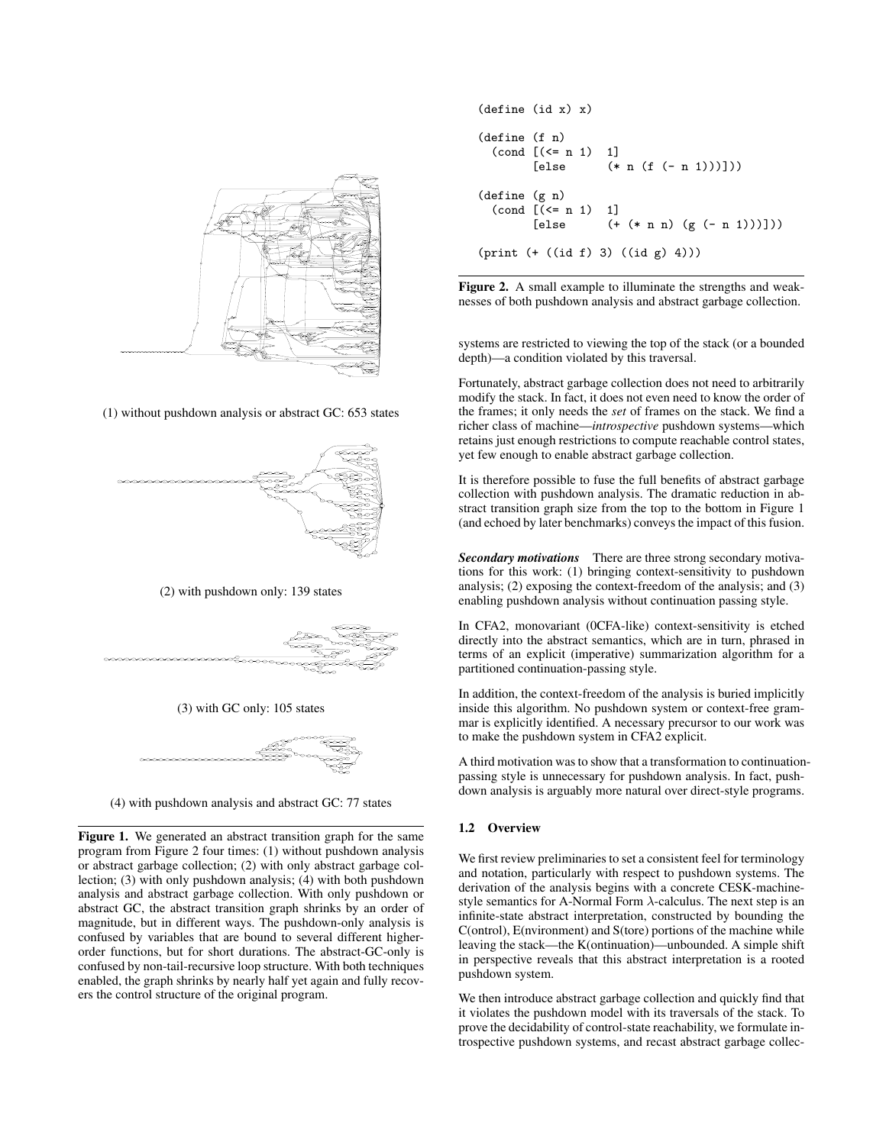

(1) without pushdown analysis or abstract GC: 653 states



(2) with pushdown only: 139 states



(3) with GC only: 105 states



(4) with pushdown analysis and abstract GC: 77 states

Figure 1. We generated an abstract transition graph for the same program from Figure 2 four times: (1) without pushdown analysis or abstract garbage collection; (2) with only abstract garbage collection; (3) with only pushdown analysis; (4) with both pushdown analysis and abstract garbage collection. With only pushdown or abstract GC, the abstract transition graph shrinks by an order of magnitude, but in different ways. The pushdown-only analysis is confused by variables that are bound to several different higherorder functions, but for short durations. The abstract-GC-only is confused by non-tail-recursive loop structure. With both techniques enabled, the graph shrinks by nearly half yet again and fully recovers the control structure of the original program.

```
(define (id x) x)
(define (f n)
  \text{(cond } [(-n 1) 1]<br>[else (*)(* n (f (- n 1)))](define (g n)
  \text{(cond } [\text{<= n 1}) \quad 1][else ( + (* n n) (g (- n 1)))]))(print (+ ((id f) 3) ((id g) 4)))
```
Figure 2. A small example to illuminate the strengths and weaknesses of both pushdown analysis and abstract garbage collection.

systems are restricted to viewing the top of the stack (or a bounded depth)—a condition violated by this traversal.

Fortunately, abstract garbage collection does not need to arbitrarily modify the stack. In fact, it does not even need to know the order of the frames; it only needs the *set* of frames on the stack. We find a richer class of machine—*introspective* pushdown systems—which retains just enough restrictions to compute reachable control states, yet few enough to enable abstract garbage collection.

It is therefore possible to fuse the full benefits of abstract garbage collection with pushdown analysis. The dramatic reduction in abstract transition graph size from the top to the bottom in Figure 1 (and echoed by later benchmarks) conveys the impact of this fusion.

*Secondary motivations* There are three strong secondary motivations for this work: (1) bringing context-sensitivity to pushdown analysis; (2) exposing the context-freedom of the analysis; and (3) enabling pushdown analysis without continuation passing style.

In CFA2, monovariant (0CFA-like) context-sensitivity is etched directly into the abstract semantics, which are in turn, phrased in terms of an explicit (imperative) summarization algorithm for a partitioned continuation-passing style.

In addition, the context-freedom of the analysis is buried implicitly inside this algorithm. No pushdown system or context-free grammar is explicitly identified. A necessary precursor to our work was to make the pushdown system in CFA2 explicit.

A third motivation was to show that a transformation to continuationpassing style is unnecessary for pushdown analysis. In fact, pushdown analysis is arguably more natural over direct-style programs.

# 1.2 Overview

We first review preliminaries to set a consistent feel for terminology and notation, particularly with respect to pushdown systems. The derivation of the analysis begins with a concrete CESK-machinestyle semantics for A-Normal Form  $\lambda$ -calculus. The next step is an infinite-state abstract interpretation, constructed by bounding the C(ontrol), E(nvironment) and S(tore) portions of the machine while leaving the stack—the K(ontinuation)—unbounded. A simple shift in perspective reveals that this abstract interpretation is a rooted pushdown system.

We then introduce abstract garbage collection and quickly find that it violates the pushdown model with its traversals of the stack. To prove the decidability of control-state reachability, we formulate introspective pushdown systems, and recast abstract garbage collec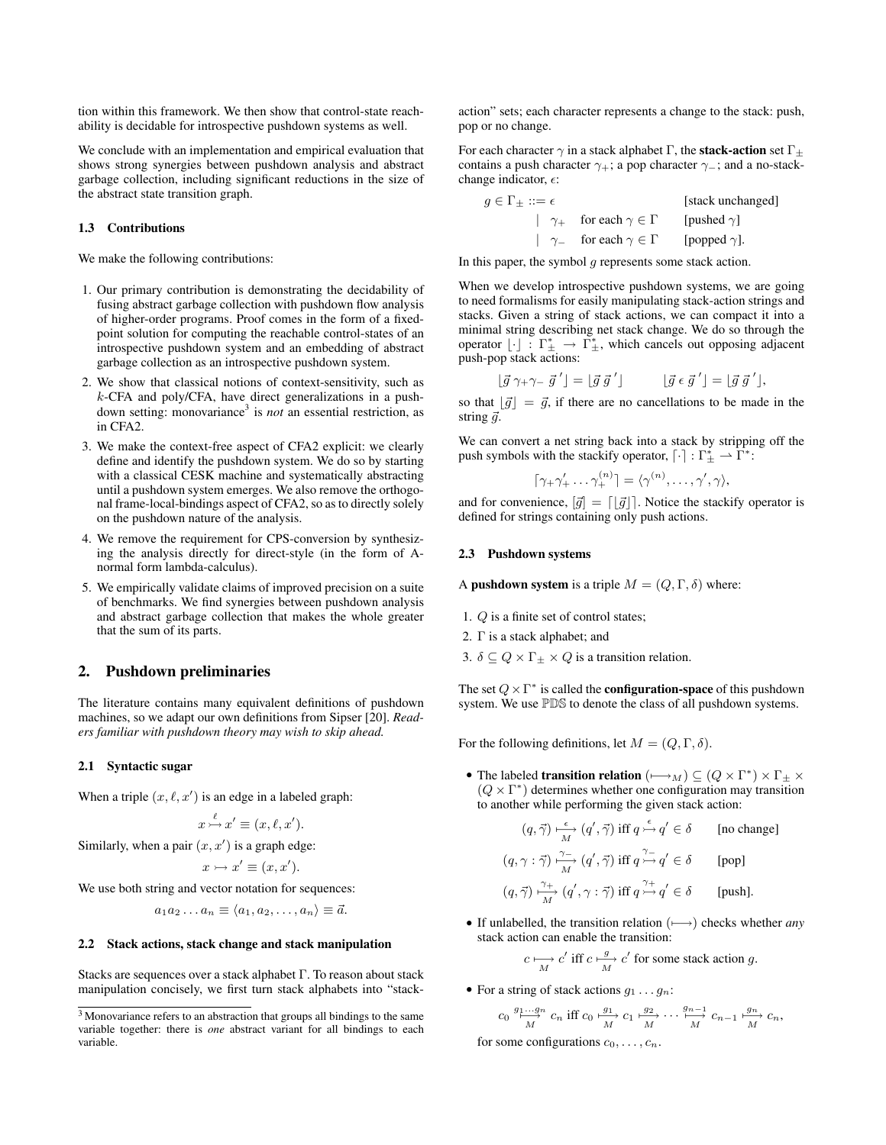tion within this framework. We then show that control-state reachability is decidable for introspective pushdown systems as well.

We conclude with an implementation and empirical evaluation that shows strong synergies between pushdown analysis and abstract garbage collection, including significant reductions in the size of the abstract state transition graph.

#### 1.3 Contributions

We make the following contributions:

- 1. Our primary contribution is demonstrating the decidability of fusing abstract garbage collection with pushdown flow analysis of higher-order programs. Proof comes in the form of a fixedpoint solution for computing the reachable control-states of an introspective pushdown system and an embedding of abstract garbage collection as an introspective pushdown system.
- 2. We show that classical notions of context-sensitivity, such as k-CFA and poly/CFA, have direct generalizations in a pushdown setting: monovariance<sup>3</sup> is *not* an essential restriction, as in CFA2.
- 3. We make the context-free aspect of CFA2 explicit: we clearly define and identify the pushdown system. We do so by starting with a classical CESK machine and systematically abstracting until a pushdown system emerges. We also remove the orthogonal frame-local-bindings aspect of CFA2, so as to directly solely on the pushdown nature of the analysis.
- 4. We remove the requirement for CPS-conversion by synthesizing the analysis directly for direct-style (in the form of Anormal form lambda-calculus).
- 5. We empirically validate claims of improved precision on a suite of benchmarks. We find synergies between pushdown analysis and abstract garbage collection that makes the whole greater that the sum of its parts.

#### 2. Pushdown preliminaries

The literature contains many equivalent definitions of pushdown machines, so we adapt our own definitions from Sipser [20]. *Readers familiar with pushdown theory may wish to skip ahead.*

#### 2.1 Syntactic sugar

When a triple  $(x, \ell, x')$  is an edge in a labeled graph:

$$
x \stackrel{\ell}{\rightarrowtail} x' \equiv (x, \ell, x').
$$

Similarly, when a pair  $(x, x')$  is a graph edge:

$$
x \rightarrowtail x' \equiv (x, x').
$$

We use both string and vector notation for sequences:

$$
a_1a_2\ldots a_n\equiv\langle a_1,a_2,\ldots,a_n\rangle\equiv \vec{a}.
$$

#### 2.2 Stack actions, stack change and stack manipulation

Stacks are sequences over a stack alphabet Γ. To reason about stack manipulation concisely, we first turn stack alphabets into "stackaction" sets; each character represents a change to the stack: push, pop or no change.

For each character  $\gamma$  in a stack alphabet Γ, the **stack-action** set  $\Gamma_{\pm}$ contains a push character  $\gamma_+$ ; a pop character  $\gamma_-$ ; and a no-stackchange indicator,  $\epsilon$ :

 $g \in \Gamma_{\pm} ::= \epsilon$  [stack unchanged] |  $\gamma_+$  for each  $\gamma \in \Gamma$  [pushed  $\gamma$ ] |  $\gamma$ - for each  $\gamma \in \Gamma$  [popped  $\gamma$ ].

In this paper, the symbol  $g$  represents some stack action.

When we develop introspective pushdown systems, we are going to need formalisms for easily manipulating stack-action strings and stacks. Given a string of stack actions, we can compact it into a minimal string describing net stack change. We do so through the operator  $\lfloor \cdot \rfloor : \Gamma^*_\pm \to \Gamma^*_\pm$ , which cancels out opposing adjacent push-pop stack actions:

$$
\left[\vec{g}\gamma_{+}\gamma_{-}\vec{g}'\right] = \left[\vec{g}\vec{g}'\right] \qquad \left[\vec{g}\epsilon\vec{g}'\right] = \left[\vec{g}\vec{g}'\right],
$$

so that  $\lfloor \vec{g} \rfloor = \vec{g}$ , if there are no cancellations to be made in the string  $\vec{a}$ .

We can convert a net string back into a stack by stripping off the push symbols with the stackify operator,  $\lceil \cdot \rceil : \Gamma^*_{\pm} \rceil \cdot \tilde{\Gamma}^*$ :

$$
\lceil \gamma_+ \gamma_+ \cdots \gamma_+^{(n)} \rceil = \langle \gamma^{(n)}, \dots, \gamma', \gamma \rangle,
$$

and for convenience,  $[\vec{g}] = [\vec{g}]$ . Notice the stackify operator is defined for strings containing only push actions.

#### 2.3 Pushdown systems

A pushdown system is a triple  $M = (Q, \Gamma, \delta)$  where:

- 1. Q is a finite set of control states;
- 2. Γ is a stack alphabet; and
- 3.  $\delta \subseteq Q \times \Gamma_{\pm} \times Q$  is a transition relation.

The set  $Q \times \Gamma^*$  is called the **configuration-space** of this pushdown system. We use PDS to denote the class of all pushdown systems.

For the following definitions, let  $M = (Q, \Gamma, \delta)$ .

• The labeled **transition relation**  $(\longmapsto_M) \subseteq (Q \times \Gamma^*) \times \Gamma_{\pm} \times$  $(Q \times \Gamma^*)$  determines whether one configuration may transition to another while performing the given stack action:

$$
(q, \vec{\gamma}) \xrightarrow[M]{\epsilon} (q', \vec{\gamma}) \text{ iff } q \xrightarrow{\epsilon} q' \in \delta \qquad \text{[no change]}
$$
  

$$
(q, \gamma : \vec{\gamma}) \xrightarrow[M]{\gamma} (q', \vec{\gamma}) \text{ iff } q \xrightarrow{\gamma} q' \in \delta \qquad \text{[pop]}
$$
  

$$
(q, \vec{\gamma}) \xrightarrow[M]{\gamma+} (q', \gamma : \vec{\gamma}) \text{ iff } q \xrightarrow{\gamma+} q' \in \delta \qquad \text{[push]}.
$$

- If unlabelled, the transition relation (7−→) checks whether *any* stack action can enable the transition:
	- $c \mapsto c'$  iff  $c \stackrel{g}{\mapsto} c'$  for some stack action g.
- For a string of stack actions  $g_1 \ldots g_n$ :

$$
c_0 \stackrel{g_1 \ldots g_n}{\longrightarrow} c_n \text{ iff } c_0 \stackrel{g_1}{\longrightarrow} c_1 \stackrel{g_2}{\longrightarrow} \cdots \stackrel{g_{n-1}}{\longrightarrow} c_{n-1} \stackrel{g_n}{\longrightarrow} c_n,
$$

for some configurations  $c_0, \ldots, c_n$ .

<sup>3</sup> Monovariance refers to an abstraction that groups all bindings to the same variable together: there is *one* abstract variant for all bindings to each variable.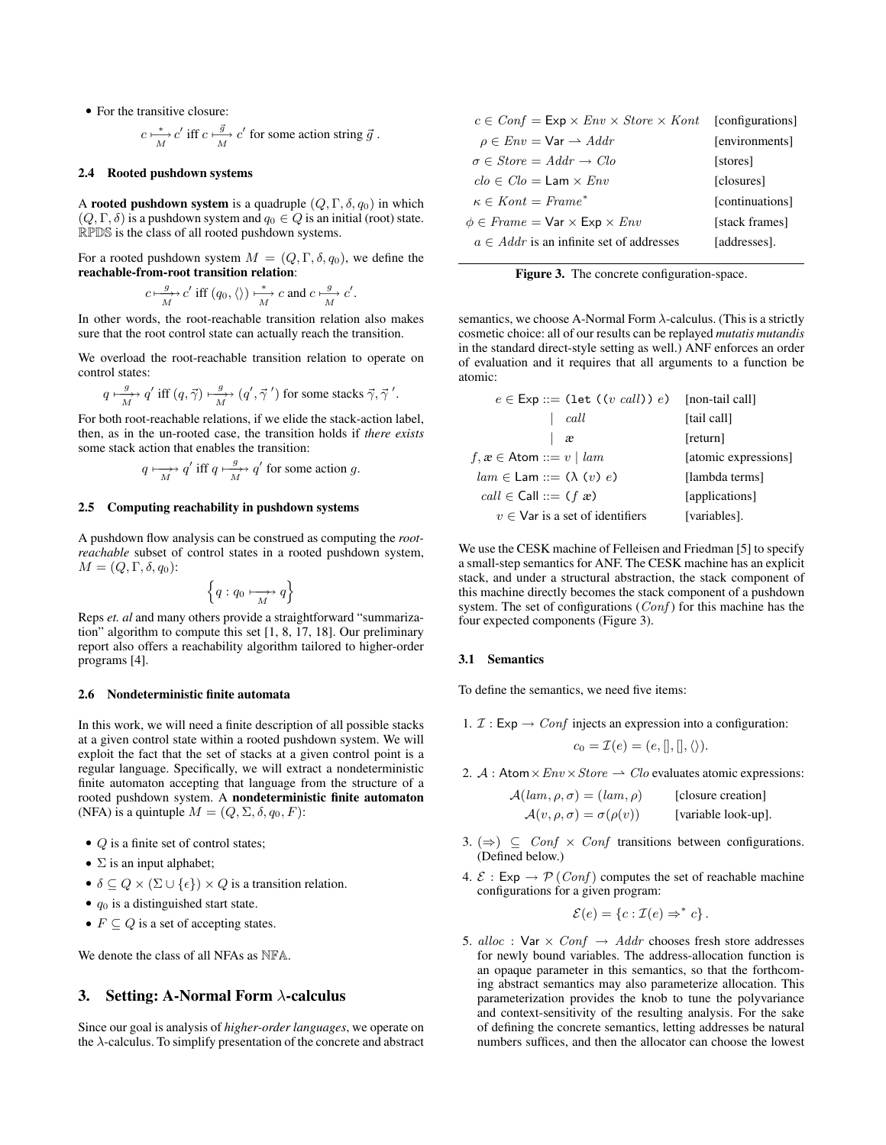• For the transitive closure:

$$
c \xrightarrow[M]{} c'
$$
 iff  $c \xrightarrow[M]{} c'$  for some action string  $\vec{g}$ .

#### 2.4 Rooted pushdown systems

A rooted pushdown system is a quadruple  $(Q, \Gamma, \delta, q_0)$  in which  $(Q, \Gamma, \delta)$  is a pushdown system and  $q_0 \in Q$  is an initial (root) state. RPDS is the class of all rooted pushdown systems.

For a rooted pushdown system  $M = (Q, \Gamma, \delta, q_0)$ , we define the reachable-from-root transition relation:

$$
c \mapsto \frac{g}{M} c'
$$
 iff  $(q_0, \langle \rangle) \mapsto \frac{d}{M} c$  and  $c \mapsto \frac{g}{M} c'$ 

.

In other words, the root-reachable transition relation also makes sure that the root control state can actually reach the transition.

We overload the root-reachable transition relation to operate on control states:

$$
q \mapsto q' \text{ iff } (q, \vec{\gamma}) \mapsto \gamma' \text{ for some stacks } \vec{\gamma}, \vec{\gamma}'.
$$

For both root-reachable relations, if we elide the stack-action label, then, as in the un-rooted case, the transition holds if *there exists* some stack action that enables the transition:

$$
q \mapsto q'
$$
 iff  $q \mapsto \frac{g}{M}$  for some action g.

#### 2.5 Computing reachability in pushdown systems

A pushdown flow analysis can be construed as computing the *rootreachable* subset of control states in a rooted pushdown system,  $M = (Q, \Gamma, \delta, q_0)$ :

$$
\left\{ q:q_0\longmapsto\limits_{M} q\right\}
$$

Reps *et. al* and many others provide a straightforward "summarization" algorithm to compute this set [1, 8, 17, 18]. Our preliminary report also offers a reachability algorithm tailored to higher-order programs [4].

#### 2.6 Nondeterministic finite automata

In this work, we will need a finite description of all possible stacks at a given control state within a rooted pushdown system. We will exploit the fact that the set of stacks at a given control point is a regular language. Specifically, we will extract a nondeterministic finite automaton accepting that language from the structure of a rooted pushdown system. A nondeterministic finite automaton (NFA) is a quintuple  $M = (Q, \Sigma, \delta, q_0, F)$ :

- $Q$  is a finite set of control states;
- $\Sigma$  is an input alphabet;
- $\delta \subseteq Q \times (\Sigma \cup \{\epsilon\}) \times Q$  is a transition relation.
- $q_0$  is a distinguished start state.
- $F \subseteq Q$  is a set of accepting states.

We denote the class of all NFAs as NFA.

### 3. Setting: A-Normal Form  $\lambda$ -calculus

Since our goal is analysis of *higher-order languages*, we operate on the  $\lambda$ -calculus. To simplify presentation of the concrete and abstract

| $c \in Conf = \textsf{Exp} \times Env \times Store \times Kont$ [configurations] |                 |
|----------------------------------------------------------------------------------|-----------------|
| $\rho \in Env = \text{Var} \rightarrow Addr$                                     | [environments]  |
| $\sigma \in Store = Addr \rightarrow Clo$                                        | [stores]        |
| $clo \in Clo = Lam \times Env$                                                   | [closures]      |
| $\kappa \in$ Kont = Frame <sup>*</sup>                                           | [continuations] |
| $\phi \in$ Frame = $\forall$ ar $\times$ Exp $\times$ Env                        | [stack frames]  |
| $a \in Addr$ is an infinite set of addresses                                     | [addresses].    |

Figure 3. The concrete configuration-space.

semantics, we choose A-Normal Form  $\lambda$ -calculus. (This is a strictly cosmetic choice: all of our results can be replayed *mutatis mutandis* in the standard direct-style setting as well.) ANF enforces an order of evaluation and it requires that all arguments to a function be atomic:

| $e \in \textsf{Exp} ::= (\textsf{let} ((v \text{ call})) e)$ [non-tail call] |                      |
|------------------------------------------------------------------------------|----------------------|
| call                                                                         | [tail call]          |
| æ                                                                            | [return]             |
| $f, x \in \text{Atom} ::= v \mid \text{lam}$                                 | [atomic expressions] |
| $lam \in Lam ::= (\lambda (v) e)$                                            | [lambda terms]       |
| $call \in Call ::= (f \times e)$                                             | [applications]       |
| $v \in V$ ar is a set of identifiers                                         | [variables].         |

We use the CESK machine of Felleisen and Friedman [5] to specify a small-step semantics for ANF. The CESK machine has an explicit stack, and under a structural abstraction, the stack component of this machine directly becomes the stack component of a pushdown system. The set of configurations  $(Conf)$  for this machine has the four expected components (Figure 3).

#### 3.1 Semantics

To define the semantics, we need five items:

1.  $\mathcal{I}: \mathsf{Exp} \to \mathit{Conf}$  injects an expression into a configuration:

$$
c_0 = \mathcal{I}(e) = (e,[],[],\langle\rangle).
$$

2. A : Atom  $\times Env \times Store \rightarrow Clo$  evaluates atomic expressions:

$$
\mathcal{A}(lam, \rho, \sigma) = (lam, \rho)
$$
 [closure creation]  

$$
\mathcal{A}(v, \rho, \sigma) = \sigma(\rho(v))
$$
 [variable look-up].

- 3. ( $\Rightarrow$ )  $\subseteq$  *Conf* × *Conf* transitions between configurations. (Defined below.)
- 4.  $\mathcal{E}: \mathsf{Exp} \to \mathcal{P}(\mathit{Conf})$  computes the set of reachable machine configurations for a given program:

$$
\mathcal{E}(e) = \{c : \mathcal{I}(e) \Rightarrow^* c\}.
$$

5. alloc : Var  $\times$  Conf  $\rightarrow$  Addr chooses fresh store addresses for newly bound variables. The address-allocation function is an opaque parameter in this semantics, so that the forthcoming abstract semantics may also parameterize allocation. This parameterization provides the knob to tune the polyvariance and context-sensitivity of the resulting analysis. For the sake of defining the concrete semantics, letting addresses be natural numbers suffices, and then the allocator can choose the lowest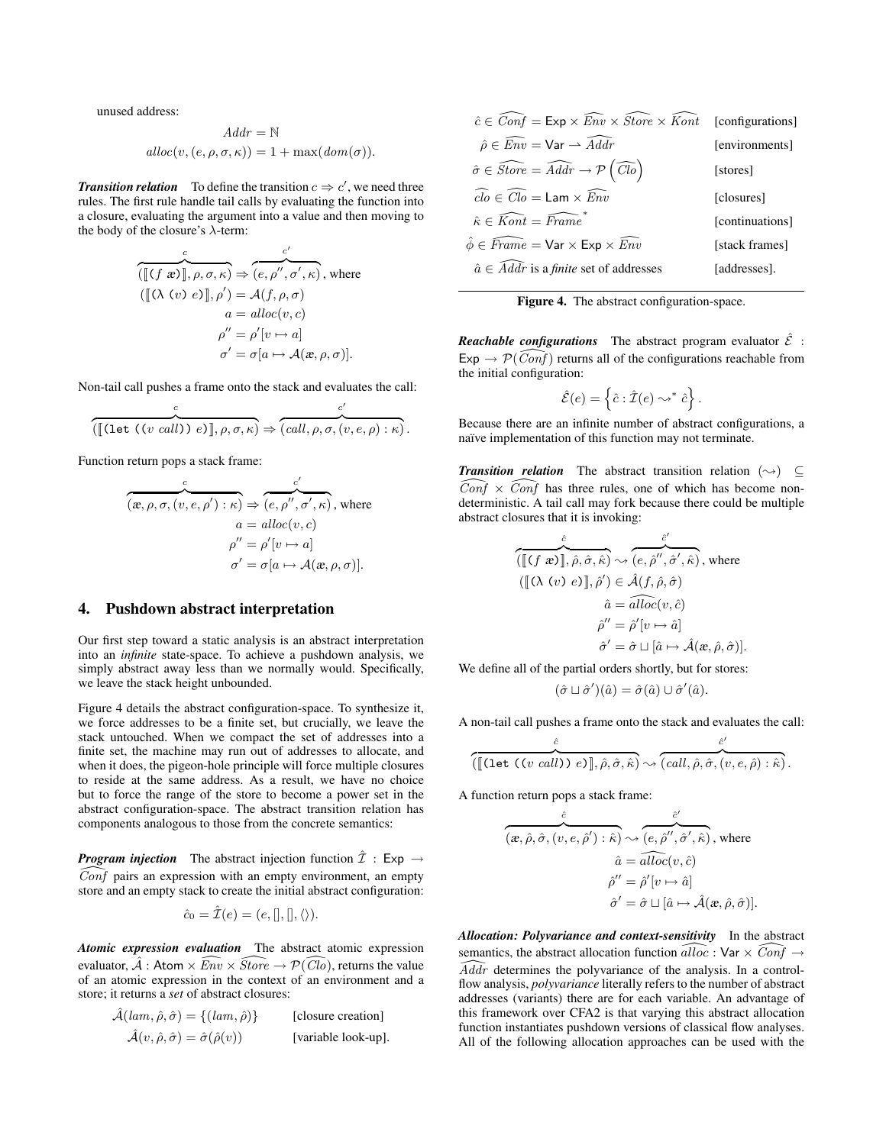unused address:

$$
Addr = \mathbb{N}
$$

$$
alloc(v, (e, \rho, \sigma, \kappa)) = 1 + max(dom(\sigma)).
$$

**Transition relation** To define the transition  $c \Rightarrow c'$ , we need three rules. The first rule handle tail calls by evaluating the function into a closure, evaluating the argument into a value and then moving to the body of the closure's  $\lambda$ -term:

$$
\overbrace{([\lbrack (f \ x \rbrack \rbrack, \rho, \sigma, \kappa)}^c \Rightarrow \overbrace{(e, \rho'', \sigma', \kappa)}^{c'} , \text{ where }
$$
\n
$$
([\lbrack (\lambda (v) e \rbrack \rbrack, \rho') = A(f, \rho, \sigma)
$$
\n
$$
a = alloc(v, c)
$$
\n
$$
\rho'' = \rho'[v \mapsto a]
$$
\n
$$
\sigma' = \sigma[a \mapsto A(x, \rho, \sigma)].
$$

Non-tail call pushes a frame onto the stack and evaluates the call:

$$
\overbrace{(\llbracket (\text{let } ((v \text{ call})) e) \rrbracket, \rho, \sigma, \kappa)}^c \Rightarrow \overbrace{(call, \rho, \sigma, (v, e, \rho) : \kappa)}^c.
$$

Function return pops a stack frame:

$$
\overbrace{(x,\rho,\sigma,(v,e,\rho'):\kappa)}^c \Rightarrow \overbrace{(e,\rho'',\sigma',\kappa)}^{c'} \text{, where}
$$
\n
$$
a = \text{alloc}(v,c)
$$
\n
$$
\rho'' = \rho'[v \mapsto a]
$$
\n
$$
\sigma' = \sigma[a \mapsto \mathcal{A}(x,\rho,\sigma)].
$$

#### 4. Pushdown abstract interpretation

Our first step toward a static analysis is an abstract interpretation into an *infinite* state-space. To achieve a pushdown analysis, we simply abstract away less than we normally would. Specifically, we leave the stack height unbounded.

Figure 4 details the abstract configuration-space. To synthesize it, we force addresses to be a finite set, but crucially, we leave the stack untouched. When we compact the set of addresses into a finite set, the machine may run out of addresses to allocate, and when it does, the pigeon-hole principle will force multiple closures to reside at the same address. As a result, we have no choice but to force the range of the store to become a power set in the abstract configuration-space. The abstract transition relation has components analogous to those from the concrete semantics:

*Program injection* The abstract injection function  $\hat{\mathcal{I}}$  : Exp  $\rightarrow$  $\widehat{Conf}$  pairs an expression with an empty environment, an empty store and an empty stack to create the initial abstract configuration:

$$
\hat{c}_0 = \hat{\mathcal{I}}(e) = (e,[],[],\langle\rangle).
$$

*Atomic expression evaluation* The abstract atomic expression evaluator,  $\hat{A}$  : Atom  $\times \overline{Env} \times \overline{Store} \rightarrow \mathcal{P}(\overline{Cl_0})$ , returns the value of an atomic expression in the context of an environment and a store; it returns a *set* of abstract closures:

$$
\hat{\mathcal{A}}(\mathit{lam}, \hat{\rho}, \hat{\sigma}) = \{(\mathit{lam}, \hat{\rho})\} \qquad \text{[closure creation]}\n\hat{\mathcal{A}}(\mathit{v}, \hat{\rho}, \hat{\sigma}) = \hat{\sigma}(\hat{\rho}(\mathit{v})) \qquad \text{[variable look-up]}.
$$

| $\hat{c} \in \widehat{Conf} = \textsf{Exp} \times \widehat{Env} \times \widehat{Store} \times \widehat{Kont}$ [configurations] |                 |
|--------------------------------------------------------------------------------------------------------------------------------|-----------------|
| $\hat{\rho} \in \widehat{Env} = \textsf{Var} \rightarrow \widehat{Addr}$                                                       | [environments]  |
| $\hat{\sigma} \in \widehat{Store} = \widehat{Addr} \rightarrow \mathcal{P}(\widehat{Clo})$                                     | [stores]        |
| $\widehat{clo} \in \widehat{Clo} = \textsf{Lam} \times \widehat{Env}$                                                          | [closures]      |
| $\hat{\kappa} \in \widehat{Kont} = \widehat{Frame}$                                                                            | [continuations] |
| $\hat{\phi} \in \widehat{Frame} = \textsf{Var} \times \textsf{Exp} \times \widehat{Env}$                                       | [stack frames]  |
| $\hat{a} \in Addr$ is a <i>finite</i> set of addresses                                                                         | [addresses].    |
|                                                                                                                                |                 |

Figure 4. The abstract configuration-space.

*Reachable configurations* The abstract program evaluator  $\hat{\mathcal{E}}$  :  $Exp \rightarrow \mathcal{P}(\widehat{Conf})$  returns all of the configurations reachable from the initial configuration:

$$
\hat{\mathcal{E}}(e) = \left\{\hat{c} : \hat{\mathcal{I}}(e) \leadsto^* \hat{c}\right\}.
$$

Because there are an infinite number of abstract configurations, a naïve implementation of this function may not terminate.

*Transition relation* The abstract transition relation  $(\rightarrow)$  ⊆  $\widehat{Conf} \times \widehat{Conf}$  has three rules, one of which has become nondeterministic. A tail call may fork because there could be multiple abstract closures that it is invoking:

$$
\frac{\hat{c}}{\left(\left[\!\left[ (f \ x)\right]\!\right], \hat{\rho}, \hat{\sigma}, \hat{\kappa} \right)} \sim \frac{\hat{c}'}{\left(e, \hat{\rho}'', \hat{\sigma}', \hat{\kappa}\right)}, \text{ where}
$$
\n
$$
\left(\left[\!\left[ (\lambda \ (v) \ e)\right]\!\right], \hat{\rho}' \right) \in \hat{\mathcal{A}}(f, \hat{\rho}, \hat{\sigma})
$$
\n
$$
\hat{a} = \overline{alloc}(v, \hat{c})
$$
\n
$$
\hat{\rho}'' = \hat{\rho}'[v \mapsto \hat{a}]
$$
\n
$$
\hat{\sigma}' = \hat{\sigma} \sqcup [\hat{a} \mapsto \hat{\mathcal{A}}(x, \hat{\rho}, \hat{\sigma})].
$$

We define all of the partial orders shortly, but for stores:

$$
(\hat{\sigma} \sqcup \hat{\sigma}')(\hat{a}) = \hat{\sigma}(\hat{a}) \cup \hat{\sigma}'(\hat{a}).
$$

A non-tail call pushes a frame onto the stack and evaluates the call:

$$
\overbrace{(\llbracket (\text{let } ((v\ call))\ e)\rrbracket, \hat{\rho}, \hat{\sigma}, \hat{\kappa})}^{\hat{c}} \rightsquigarrow \overbrace{(\text{call}, \hat{\rho}, \hat{\sigma}, (v, e, \hat{\rho}) : \hat{\kappa})}^{\hat{c}'}.
$$

A function return pops a stack frame:

$$
\overbrace{(\mathbf{x}, \hat{\rho}, \hat{\sigma}, (v, e, \hat{\rho}'): \hat{\kappa}) \rightsquigarrow (\overbrace{e, \hat{\rho}'', \hat{\sigma}', \hat{\kappa})}^{\hat{c}'}, \text{ where }}
$$
\n
$$
\hat{a} = \overbrace{alloc}(v, \hat{c})
$$
\n
$$
\hat{\rho}'' = \hat{\rho}'[v \mapsto \hat{a}]
$$
\n
$$
\hat{\sigma}' = \hat{\sigma} \sqcup [\hat{a} \mapsto \hat{\mathcal{A}}(\mathbf{x}, \hat{\rho}, \hat{\sigma})].
$$

*Allocation: Polyvariance and context-sensitivity* In the abstract semantics, the abstract allocation function  $\widehat{alloc} : \mathsf{Var} \times \widehat{Conf} \rightarrow$  $\widehat{A}d\widehat{dr}$  determines the polyvariance of the analysis. In a controlflow analysis, *polyvariance* literally refers to the number of abstract addresses (variants) there are for each variable. An advantage of this framework over CFA2 is that varying this abstract allocation function instantiates pushdown versions of classical flow analyses. All of the following allocation approaches can be used with the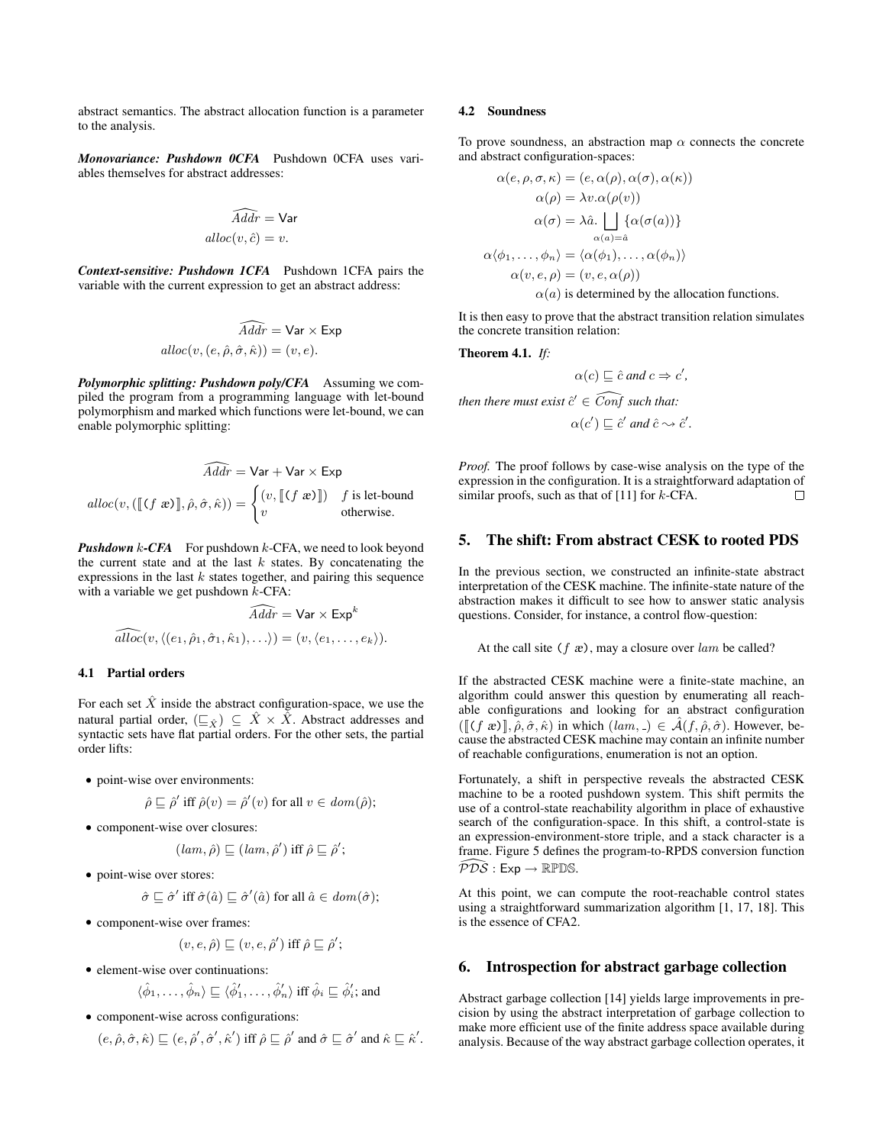abstract semantics. The abstract allocation function is a parameter to the analysis.

*Monovariance: Pushdown 0CFA* Pushdown 0CFA uses variables themselves for abstract addresses:

$$
\widehat{Addr} = \text{Var}
$$

$$
alloc(v, \hat{c}) = v.
$$

*Context-sensitive: Pushdown 1CFA* Pushdown 1CFA pairs the variable with the current expression to get an abstract address:

$$
\widehat{Adr} = \text{Var} \times \text{Exp}
$$
  
 
$$
alloc(v, (e, \hat{\rho}, \hat{\sigma}, \hat{\kappa})) = (v, e).
$$

*Polymorphic splitting: Pushdown poly/CFA* Assuming we compiled the program from a programming language with let-bound polymorphism and marked which functions were let-bound, we can enable polymorphic splitting:

$$
\widehat{Ad\theta r} = \text{Var} + \text{Var} \times \text{Exp}
$$
  
 
$$
alloc(v, (\llbracket (f \ x) \rrbracket, \hat{\rho}, \hat{\sigma}, \hat{\kappa})) = \begin{cases} (v, \llbracket (f \ x) \rrbracket) & f \ \text{is let-bound} \\ v & \text{otherwise.} \end{cases}
$$

*Pushdown* k-CFA For pushdown k-CFA, we need to look beyond the current state and at the last  $k$  states. By concatenating the expressions in the last  $k$  states together, and pairing this sequence with a variable we get pushdown  $k$ -CFA:

$$
\widehat{Adr} = \text{Var} \times \text{Exp}^k
$$
  

$$
\widehat{alloc}(v, \langle (e_1, \hat{\rho}_1, \hat{\sigma}_1, \hat{\kappa}_1), \ldots \rangle) = (v, \langle e_1, \ldots, e_k \rangle).
$$

### 4.1 Partial orders

For each set  $\hat{X}$  inside the abstract configuration-space, we use the natural partial order,  $(\underline{\square}_{\hat{X}}) \subseteq \hat{X} \times \hat{X}$ . Abstract addresses and syntactic sets have flat partial orders. For the other sets, the partial order lifts:

• point-wise over environments:

$$
\hat{\rho} \sqsubseteq \hat{\rho}' \text{ iff } \hat{\rho}(v) = \hat{\rho}'(v) \text{ for all } v \in \text{dom}(\hat{\rho});
$$

• component-wise over closures:

$$
(lam, \hat{\rho}) \sqsubseteq (lam, \hat{\rho}')
$$
 iff  $\hat{\rho} \sqsubseteq \hat{\rho}';$ 

• point-wise over stores:

$$
\hat{\sigma} \sqsubseteq \hat{\sigma}' \text{ iff } \hat{\sigma}(\hat{a}) \sqsubseteq \hat{\sigma}'(\hat{a}) \text{ for all } \hat{a} \in \text{dom}(\hat{\sigma});
$$

• component-wise over frames:

$$
(v,e,\hat{\rho})\sqsubseteq (v,e,\hat{\rho}') \text{ iff } \hat{\rho}\sqsubseteq \hat{\rho}';
$$

• element-wise over continuations:

$$
\langle \hat{\phi}_1, \dots, \hat{\phi}_n \rangle \sqsubseteq \langle \hat{\phi}'_1, \dots, \hat{\phi}'_n \rangle
$$
 iff  $\hat{\phi}_i \sqsubseteq \hat{\phi}'_i$ ; and

• component-wise across configurations:

$$
(e, \hat{\rho}, \hat{\sigma}, \hat{\kappa}) \sqsubseteq (e, \hat{\rho}', \hat{\sigma}', \hat{\kappa}')
$$
 iff  $\hat{\rho} \sqsubseteq \hat{\rho}'$  and  $\hat{\sigma} \sqsubseteq \hat{\sigma}'$  and  $\hat{\kappa} \sqsubseteq \hat{\kappa}'$ .

#### 4.2 Soundness

To prove soundness, an abstraction map  $\alpha$  connects the concrete and abstract configuration-spaces:

$$
\alpha(e, \rho, \sigma, \kappa) = (e, \alpha(\rho), \alpha(\sigma), \alpha(\kappa))
$$

$$
\alpha(\rho) = \lambda v. \alpha(\rho(v))
$$

$$
\alpha(\sigma) = \lambda \hat{a}. \bigsqcup_{\alpha(a) = \hat{a}} {\{\alpha(\sigma(a))\}}
$$

$$
\alpha\langle\phi_1, \ldots, \phi_n\rangle = {\langle\alpha(\phi_1), \ldots, \alpha(\phi_n)\rangle \atop \alpha(v, e, \rho) = (v, e, \alpha(\rho))}
$$

$$
\alpha(a) \text{ is determined by the allocation functions.}
$$

It is then easy to prove that the abstract transition relation simulates the concrete transition relation:

Theorem 4.1. *If:*

$$
\alpha(c) \sqsubseteq \hat{c} \text{ and } c \Rightarrow c',
$$

 $\emph{then there must exist $\hat{c}' \in \widehat{Conf}$ such that:}$ 

$$
\alpha(c') \sqsubseteq \hat{c}' \text{ and } \hat{c} \rightsquigarrow \hat{c}'.
$$

*Proof.* The proof follows by case-wise analysis on the type of the expression in the configuration. It is a straightforward adaptation of similar proofs, such as that of  $[11]$  for k-CFA.  $\Box$ 

# 5. The shift: From abstract CESK to rooted PDS

In the previous section, we constructed an infinite-state abstract interpretation of the CESK machine. The infinite-state nature of the abstraction makes it difficult to see how to answer static analysis questions. Consider, for instance, a control flow-question:

At the call site  $(f \nvert x)$ , may a closure over lam be called?

If the abstracted CESK machine were a finite-state machine, an algorithm could answer this question by enumerating all reachable configurations and looking for an abstract configuration  $([\[( f \ x)]], \hat{\rho}, \hat{\sigma}, \hat{\kappa})$  in which  $(lam, \underline{\ } ) \in \hat{\mathcal{A}}(f, \hat{\rho}, \hat{\sigma})$ . However, because the abstracted CESK machine may contain an infinite number of reachable configurations, enumeration is not an option.

Fortunately, a shift in perspective reveals the abstracted CESK machine to be a rooted pushdown system. This shift permits the use of a control-state reachability algorithm in place of exhaustive search of the configuration-space. In this shift, a control-state is an expression-environment-store triple, and a stack character is a frame. Figure 5 defines the program-to-RPDS conversion function  $\widehat{PDS}: \mathsf{Exp} \to \mathbb{RPDS}.$ 

At this point, we can compute the root-reachable control states using a straightforward summarization algorithm [1, 17, 18]. This is the essence of CFA2.

#### 6. Introspection for abstract garbage collection

Abstract garbage collection [14] yields large improvements in precision by using the abstract interpretation of garbage collection to make more efficient use of the finite address space available during analysis. Because of the way abstract garbage collection operates, it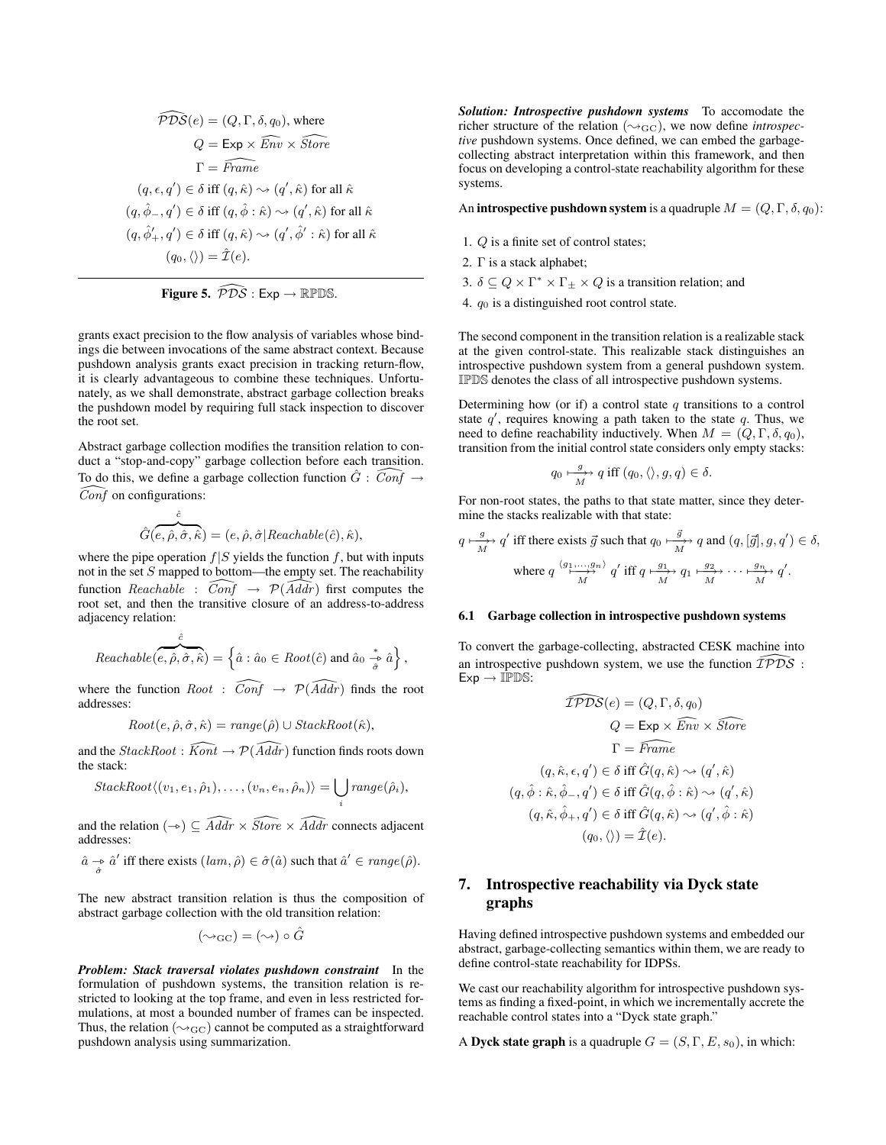$$
\widehat{PDS}(e) = (Q, \Gamma, \delta, q_0), \text{ where}
$$
\n
$$
Q = \text{Exp} \times \widehat{Env} \times \widehat{Store}
$$
\n
$$
\Gamma = \widehat{Frame}
$$
\n
$$
(q, \epsilon, q') \in \delta \text{ iff } (q, \hat{\kappa}) \leadsto (q', \hat{\kappa}) \text{ for all } \hat{\kappa}
$$
\n
$$
(q, \hat{\phi}_-, q') \in \delta \text{ iff } (q, \hat{\phi} : \hat{\kappa}) \leadsto (q', \hat{\kappa}) \text{ for all } \hat{\kappa}
$$
\n
$$
(q, \hat{\phi}'_+, q') \in \delta \text{ iff } (q, \hat{\kappa}) \leadsto (q', \hat{\phi}' : \hat{\kappa}) \text{ for all } \hat{\kappa}
$$
\n
$$
(q_0, \langle \rangle) = \hat{\mathcal{I}}(e).
$$



grants exact precision to the flow analysis of variables whose bindings die between invocations of the same abstract context. Because pushdown analysis grants exact precision in tracking return-flow, it is clearly advantageous to combine these techniques. Unfortunately, as we shall demonstrate, abstract garbage collection breaks the pushdown model by requiring full stack inspection to discover the root set.

Abstract garbage collection modifies the transition relation to conduct a "stop-and-copy" garbage collection before each transition. To do this, we define a garbage collection function  $\hat{G}$  :  $\widehat{Conf}$   $\rightarrow$  $\widehat{Conf}$  on configurations:

$$
\hat{G}(\overbrace{e,\hat{\rho},\hat{\sigma},\hat{\kappa}}^{\hat{c}}) = (e,\hat{\rho},\hat{\sigma}|Reachable(\hat{c}),\hat{\kappa}),
$$

where the pipe operation  $f|S$  yields the function f, but with inputs not in the set  $S$  mapped to bottom—the empty set. The reachability function Reachable :  $\widehat{Conf} \rightarrow \mathcal{P}(\widehat{Adar})$  first computes the root set, and then the transitive closure of an address-to-address adjacency relation:

$$
Reachable(\widehat{e}, \widehat{\rho}, \widehat{\sigma}, \widehat{\kappa}) = \left\{\widehat{a} : \widehat{a}_0 \in Root(\widehat{c}) \text{ and } \widehat{a}_0 \stackrel{*}{\underset{\widehat{\sigma}}{\rightarrow}} \widehat{a} \right\},\
$$

where the function  $Root \text{ : } \widehat{Conf} \rightarrow \mathcal{P}(\widehat{Addr})$  finds the root addresses:

$$
Root(e, \hat{\rho}, \hat{\sigma}, \hat{\kappa}) = range(\hat{\rho}) \cup StackRoot(\hat{\kappa}),
$$

and the  $StackRoot:$   $\widehat{Kont} \rightarrow \widehat{P(Addr)}$  function finds roots down the stack:

$$
StackRoot\langle (v_1, e_1, \hat{\rho}_1), \ldots, (v_n, e_n, \hat{\rho}_n) \rangle = \bigcup_i range(\hat{\rho}_i),
$$

and the relation  $(\rightarrow) \subset \widehat{A} \widehat{ddr} \times \widehat{Store} \times \widehat{A} \widehat{ddr}$  connects adjacent addresses:

 $\hat{a} \rightarrow \hat{a}'$  iff there exists  $(lam, \hat{\rho}) \in \hat{\sigma}(\hat{a})$  such that  $\hat{a}' \in range(\hat{\rho})$ .

The new abstract transition relation is thus the composition of abstract garbage collection with the old transition relation:

$$
(\leadsto_{\mathbf{GC}}) = (\leadsto) \circ \hat{G}
$$

*Problem: Stack traversal violates pushdown constraint* In the formulation of pushdown systems, the transition relation is restricted to looking at the top frame, and even in less restricted formulations, at most a bounded number of frames can be inspected. Thus, the relation ( $\sim_{\text{GC}}$ ) cannot be computed as a straightforward pushdown analysis using summarization.

*Solution: Introspective pushdown systems* To accomodate the richer structure of the relation  $(\sim_{\text{GC}})$ , we now define *introspective* pushdown systems. Once defined, we can embed the garbagecollecting abstract interpretation within this framework, and then focus on developing a control-state reachability algorithm for these systems.

An **introspective pushdown system** is a quadruple  $M = (Q, \Gamma, \delta, q_0)$ :

- 1. Q is a finite set of control states;
- 2. Γ is a stack alphabet;
- 3.  $\delta \subseteq Q \times \Gamma^* \times \Gamma_{\pm} \times Q$  is a transition relation; and
- 4.  $q_0$  is a distinguished root control state.

The second component in the transition relation is a realizable stack at the given control-state. This realizable stack distinguishes an introspective pushdown system from a general pushdown system. IPDS denotes the class of all introspective pushdown systems.

Determining how (or if) a control state  $q$  transitions to a control state  $q'$ , requires knowing a path taken to the state q. Thus, we need to define reachability inductively. When  $M = (Q, \Gamma, \delta, q_0)$ , transition from the initial control state considers only empty stacks:

$$
q_0 \xrightarrow[M]{g} q \text{ iff } (q_0, \langle \rangle, g, q) \in \delta.
$$

For non-root states, the paths to that state matter, since they determine the stacks realizable with that state:

$$
q \xrightarrow[M]{g} q' \text{ iff there exists } \vec{g} \text{ such that } q_0 \xrightarrow[M]{\vec{g}} q \text{ and } (q, [\vec{g}], g, q') \in \delta,
$$
  
where  $q \xrightarrow{g_1, \dots, g_n} q' \text{ iff } q \xrightarrow[M]{g_1, \dots, g_n} q_1 \xrightarrow[M]{g_2, \dots, g_n} q'.$ 

#### 6.1 Garbage collection in introspective pushdown systems

To convert the garbage-collecting, abstracted CESK machine into an introspective pushdown system, we use the function  $\overline{\mathcal{IPDS}}$  :  $Exp \rightarrow IPDS$ :

$$
\widehat{TPDS}(e) = (Q, \Gamma, \delta, q_0)
$$
  
\n
$$
Q = \text{Exp} \times \widehat{Env} \times \widehat{Store}
$$
  
\n
$$
\Gamma = \widehat{Frame}
$$
  
\n
$$
(q, \hat{\kappa}, \epsilon, q') \in \delta \text{ iff } \widehat{G}(q, \hat{\kappa}) \sim (q', \hat{\kappa})
$$
  
\n
$$
(q, \hat{\phi} : \hat{\kappa}, \hat{\phi}_-, q') \in \delta \text{ iff } \widehat{G}(q, \hat{\phi} : \hat{\kappa}) \sim (q', \hat{\kappa})
$$
  
\n
$$
(q, \hat{\kappa}, \hat{\phi}_+, q') \in \delta \text{ iff } \widehat{G}(q, \hat{\kappa}) \sim (q', \hat{\phi} : \hat{\kappa})
$$
  
\n
$$
(q_0, \langle \rangle) = \widehat{I}(e).
$$

# 7. Introspective reachability via Dyck state graphs

Having defined introspective pushdown systems and embedded our abstract, garbage-collecting semantics within them, we are ready to define control-state reachability for IDPSs.

We cast our reachability algorithm for introspective pushdown systems as finding a fixed-point, in which we incrementally accrete the reachable control states into a "Dyck state graph."

A Dyck state graph is a quadruple  $G = (S, \Gamma, E, s_0)$ , in which: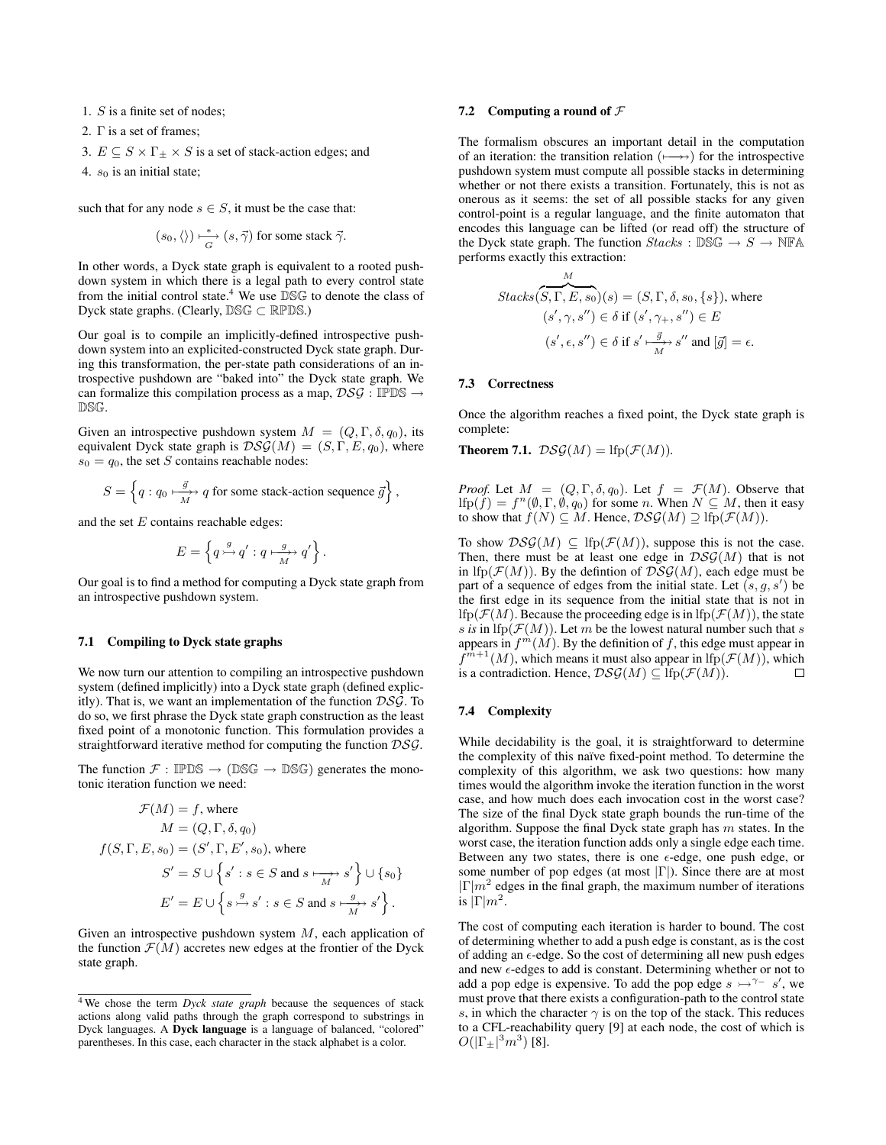1. S is a finite set of nodes;

2. Γ is a set of frames;

3.  $E \subseteq S \times \Gamma_{\pm} \times S$  is a set of stack-action edges; and

4.  $s_0$  is an initial state;

such that for any node  $s \in S$ , it must be the case that:

$$
(s_0, \langle \rangle) \xrightarrow[G]{} (s, \vec{\gamma})
$$
 for some stack  $\vec{\gamma}$ .

In other words, a Dyck state graph is equivalent to a rooted pushdown system in which there is a legal path to every control state from the initial control state.<sup>4</sup> We use  $DSG$  to denote the class of Dyck state graphs. (Clearly, DSG ⊂ RPDS.)

Our goal is to compile an implicitly-defined introspective pushdown system into an explicited-constructed Dyck state graph. During this transformation, the per-state path considerations of an introspective pushdown are "baked into" the Dyck state graph. We can formalize this compilation process as a map,  $DSG : IPPSS \rightarrow$ DSG.

Given an introspective pushdown system  $M = (Q, \Gamma, \delta, q_0)$ , its equivalent Dyck state graph is  $DSG(M) = (S, \Gamma, E, q_0)$ , where  $s_0 = q_0$ , the set S contains reachable nodes:

$$
S = \left\{ q : q_0 \xrightarrow[M]{\overrightarrow{g}} q \text{ for some stack-action sequence } \vec{g} \right\},\
$$

and the set  $E$  contains reachable edges:

$$
E = \left\{ q \stackrel{g}{\rightarrowtail} q' : q \stackrel{g}{\longrightarrowtail} q' \right\}.
$$

Our goal is to find a method for computing a Dyck state graph from an introspective pushdown system.

### 7.1 Compiling to Dyck state graphs

We now turn our attention to compiling an introspective pushdown system (defined implicitly) into a Dyck state graph (defined explicitly). That is, we want an implementation of the function  $DSG$ . To do so, we first phrase the Dyck state graph construction as the least fixed point of a monotonic function. This formulation provides a straightforward iterative method for computing the function DSG.

The function  $\mathcal{F} : \mathbb{IPDS} \to (\mathbb{DSG} \to \mathbb{DSG})$  generates the monotonic iteration function we need:

$$
\mathcal{F}(M) = f, \text{ where}
$$

$$
M = (Q, \Gamma, \delta, q_0)
$$

$$
f(S, \Gamma, E, s_0) = (S', \Gamma, E', s_0), \text{ where}
$$

$$
S' = S \cup \left\{ s' : s \in S \text{ and } s \xrightarrow[M]{s'} s' \right\} \cup \left\{ s_0 \right\}
$$

$$
E' = E \cup \left\{ s \xrightarrow{g} s' : s \in S \text{ and } s \xrightarrow[M]{g} s' \right\}.
$$

Given an introspective pushdown system  $M$ , each application of the function  $\mathcal{F}(M)$  accretes new edges at the frontier of the Dyck state graph.

# 7.2 Computing a round of  $\mathcal F$

The formalism obscures an important detail in the computation of an iteration: the transition relation  $(\rightarrowtail\rightarrow)$  for the introspective pushdown system must compute all possible stacks in determining whether or not there exists a transition. Fortunately, this is not as onerous as it seems: the set of all possible stacks for any given control-point is a regular language, and the finite automaton that encodes this language can be lifted (or read off) the structure of the Dyck state graph. The function  $Stacks : \mathbb{DSG} \to S \to \mathbb{NFA}$ performs exactly this extraction:

$$
Stacks(S, \Gamma, E, s_0)(s) = (S, \Gamma, \delta, s_0, \{s\}), \text{ where}
$$

$$
(s', \gamma, s'') \in \delta \text{ if } (s', \gamma_+, s'') \in E
$$

$$
(s', \epsilon, s'') \in \delta \text{ if } s' \xrightarrow{\vec{g}} s'' \text{ and } [\vec{g}] = \epsilon.
$$

#### 7.3 Correctness

Once the algorithm reaches a fixed point, the Dyck state graph is complete:

**Theorem 7.1.**  $DSG(M) =$  lfp( $\mathcal{F}(M)$ ).

*Proof.* Let  $M = (Q, \Gamma, \delta, q_0)$ . Let  $f = \mathcal{F}(M)$ . Observe that  $\text{Ifp}(f) = f^n(\emptyset, \Gamma, \emptyset, q_0)$  for some n. When  $N \subseteq M$ , then it easy to show that  $f(N) \subseteq M$ . Hence,  $\mathcal{DSG}(M) \supseteq$  lfp( $\mathcal{F}(M)$ ).

To show  $DSG(M) \subseteq \text{lfp}(\mathcal{F}(M))$ , suppose this is not the case. Then, there must be at least one edge in  $DSG(M)$  that is not in lfp( $\mathcal{F}(M)$ ). By the defintion of  $DS\mathcal{G}(M)$ , each edge must be part of a sequence of edges from the initial state. Let  $(s, g, s')$  be the first edge in its sequence from the initial state that is not in lfp( $\mathcal{F}(M)$ ). Because the proceeding edge is in lfp( $\mathcal{F}(M)$ ), the state *s* is in lfp( $\mathcal{F}(M)$ ). Let m be the lowest natural number such that *s* appears in  $f^m(\hat{M})$ . By the definition of f, this edge must appear in  $f^{m+1}(M)$ , which means it must also appear in  $\text{Ifp}(\mathcal{F}(M))$ , which is a contradiction. Hence,  $DSG(M) \subseteq$  lfp( $\mathcal{F}(M)$ ).  $\Box$ 

#### 7.4 Complexity

While decidability is the goal, it is straightforward to determine the complexity of this naïve fixed-point method. To determine the complexity of this algorithm, we ask two questions: how many times would the algorithm invoke the iteration function in the worst case, and how much does each invocation cost in the worst case? The size of the final Dyck state graph bounds the run-time of the algorithm. Suppose the final Dyck state graph has  $m$  states. In the worst case, the iteration function adds only a single edge each time. Between any two states, there is one  $\epsilon$ -edge, one push edge, or some number of pop edges (at most  $|\Gamma|$ ). Since there are at most  $|\Gamma|m^2$  edges in the final graph, the maximum number of iterations is  $|\Gamma|m^2$ .

The cost of computing each iteration is harder to bound. The cost of determining whether to add a push edge is constant, as is the cost of adding an  $\epsilon$ -edge. So the cost of determining all new push edges and new  $\epsilon$ -edges to add is constant. Determining whether or not to add a pop edge is expensive. To add the pop edge  $s \rightarrow^{\gamma-} s'$ , we must prove that there exists a configuration-path to the control state s, in which the character  $\gamma$  is on the top of the stack. This reduces to a CFL-reachability query [9] at each node, the cost of which is  $O(|\Gamma_{\pm}|^3 m^3)$  [8].

<sup>4</sup> We chose the term *Dyck state graph* because the sequences of stack actions along valid paths through the graph correspond to substrings in Dyck languages. A Dyck language is a language of balanced, "colored" parentheses. In this case, each character in the stack alphabet is a color.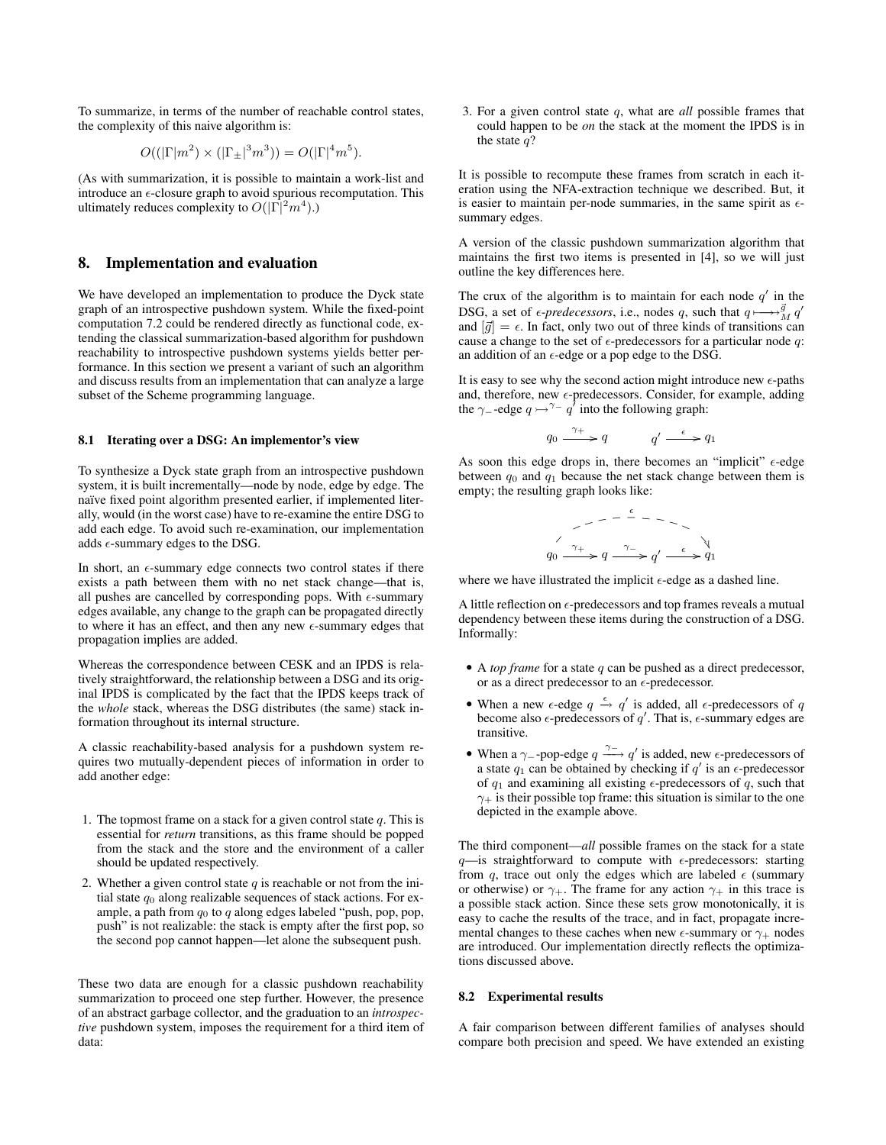To summarize, in terms of the number of reachable control states, the complexity of this naive algorithm is:

$$
O((|\Gamma|m^2) \times (|\Gamma_{\pm}|^3 m^3)) = O(|\Gamma|^4 m^5).
$$

(As with summarization, it is possible to maintain a work-list and introduce an  $\epsilon$ -closure graph to avoid spurious recomputation. This ultimately reduces complexity to  $O(|\Gamma|^2 m^4)$ .)

# 8. Implementation and evaluation

We have developed an implementation to produce the Dyck state graph of an introspective pushdown system. While the fixed-point computation 7.2 could be rendered directly as functional code, extending the classical summarization-based algorithm for pushdown reachability to introspective pushdown systems yields better performance. In this section we present a variant of such an algorithm and discuss results from an implementation that can analyze a large subset of the Scheme programming language.

#### 8.1 Iterating over a DSG: An implementor's view

To synthesize a Dyck state graph from an introspective pushdown system, it is built incrementally—node by node, edge by edge. The naïve fixed point algorithm presented earlier, if implemented literally, would (in the worst case) have to re-examine the entire DSG to add each edge. To avoid such re-examination, our implementation adds  $\epsilon$ -summary edges to the DSG.

In short, an  $\epsilon$ -summary edge connects two control states if there exists a path between them with no net stack change—that is, all pushes are cancelled by corresponding pops. With  $\epsilon$ -summary edges available, any change to the graph can be propagated directly to where it has an effect, and then any new  $\epsilon$ -summary edges that propagation implies are added.

Whereas the correspondence between CESK and an IPDS is relatively straightforward, the relationship between a DSG and its original IPDS is complicated by the fact that the IPDS keeps track of the *whole* stack, whereas the DSG distributes (the same) stack information throughout its internal structure.

A classic reachability-based analysis for a pushdown system requires two mutually-dependent pieces of information in order to add another edge:

- 1. The topmost frame on a stack for a given control state  $q$ . This is essential for *return* transitions, as this frame should be popped from the stack and the store and the environment of a caller should be updated respectively.
- 2. Whether a given control state  $q$  is reachable or not from the initial state  $q_0$  along realizable sequences of stack actions. For example, a path from  $q_0$  to q along edges labeled "push, pop, pop, push" is not realizable: the stack is empty after the first pop, so the second pop cannot happen—let alone the subsequent push.

These two data are enough for a classic pushdown reachability summarization to proceed one step further. However, the presence of an abstract garbage collector, and the graduation to an *introspective* pushdown system, imposes the requirement for a third item of data:

3. For a given control state q, what are *all* possible frames that could happen to be *on* the stack at the moment the IPDS is in the state  $q$ ?

It is possible to recompute these frames from scratch in each iteration using the NFA-extraction technique we described. But, it is easier to maintain per-node summaries, in the same spirit as  $\epsilon$ summary edges.

A version of the classic pushdown summarization algorithm that maintains the first two items is presented in [4], so we will just outline the key differences here.

The crux of the algorithm is to maintain for each node  $q'$  in the DSG, a set of  $\epsilon$ -*predecessors*, i.e., nodes q, such that  $q \mapsto \frac{g}{M} q'$ and  $[\vec{g}] = \epsilon$ . In fact, only two out of three kinds of transitions can cause a change to the set of  $\epsilon$ -predecessors for a particular node q: an addition of an  $\epsilon\text{-edge}$  or a pop edge to the DSG.

It is easy to see why the second action might introduce new  $\epsilon$ -paths and, therefore, new  $\epsilon$ -predecessors. Consider, for example, adding the  $\gamma$ --edge  $q \rightarrow^{\gamma-} q'$  into the following graph:

$$
q_0 \xrightarrow{\gamma_+} q \qquad \qquad q' \xrightarrow{\epsilon} q_1
$$

As soon this edge drops in, there becomes an "implicit"  $\epsilon$ -edge between  $q_0$  and  $q_1$  because the net stack change between them is empty; the resulting graph looks like:

$$
q_0 \xrightarrow{\gamma_+} q \xrightarrow{\gamma_-} q' \xrightarrow{\epsilon} q_1
$$

where we have illustrated the implicit  $\epsilon$ -edge as a dashed line.

A little reflection on  $\epsilon$ -predecessors and top frames reveals a mutual dependency between these items during the construction of a DSG. Informally:

- A *top frame* for a state q can be pushed as a direct predecessor, or as a direct predecessor to an  $\epsilon$ -predecessor.
- When a new  $\epsilon$ -edge  $q \stackrel{\epsilon}{\rightarrow} q'$  is added, all  $\epsilon$ -predecessors of q become also  $\epsilon$ -predecessors of  $q'$ . That is,  $\epsilon$ -summary edges are transitive.
- When a  $\gamma$ --pop-edge  $q \xrightarrow{\gamma^-} q'$  is added, new  $\epsilon$ -predecessors of a state  $q_1$  can be obtained by checking if  $q'$  is an  $\epsilon$ -predecessor of  $q_1$  and examining all existing  $\epsilon$ -predecessors of q, such that  $\gamma$ + is their possible top frame: this situation is similar to the one depicted in the example above.

The third component—*all* possible frames on the stack for a state  $q$ —is straightforward to compute with  $\epsilon$ -predecessors: starting from q, trace out only the edges which are labeled  $\epsilon$  (summary or otherwise) or  $\gamma_+$ . The frame for any action  $\gamma_+$  in this trace is a possible stack action. Since these sets grow monotonically, it is easy to cache the results of the trace, and in fact, propagate incremental changes to these caches when new  $\epsilon$ -summary or  $\gamma_+$  nodes are introduced. Our implementation directly reflects the optimizations discussed above.

#### 8.2 Experimental results

A fair comparison between different families of analyses should compare both precision and speed. We have extended an existing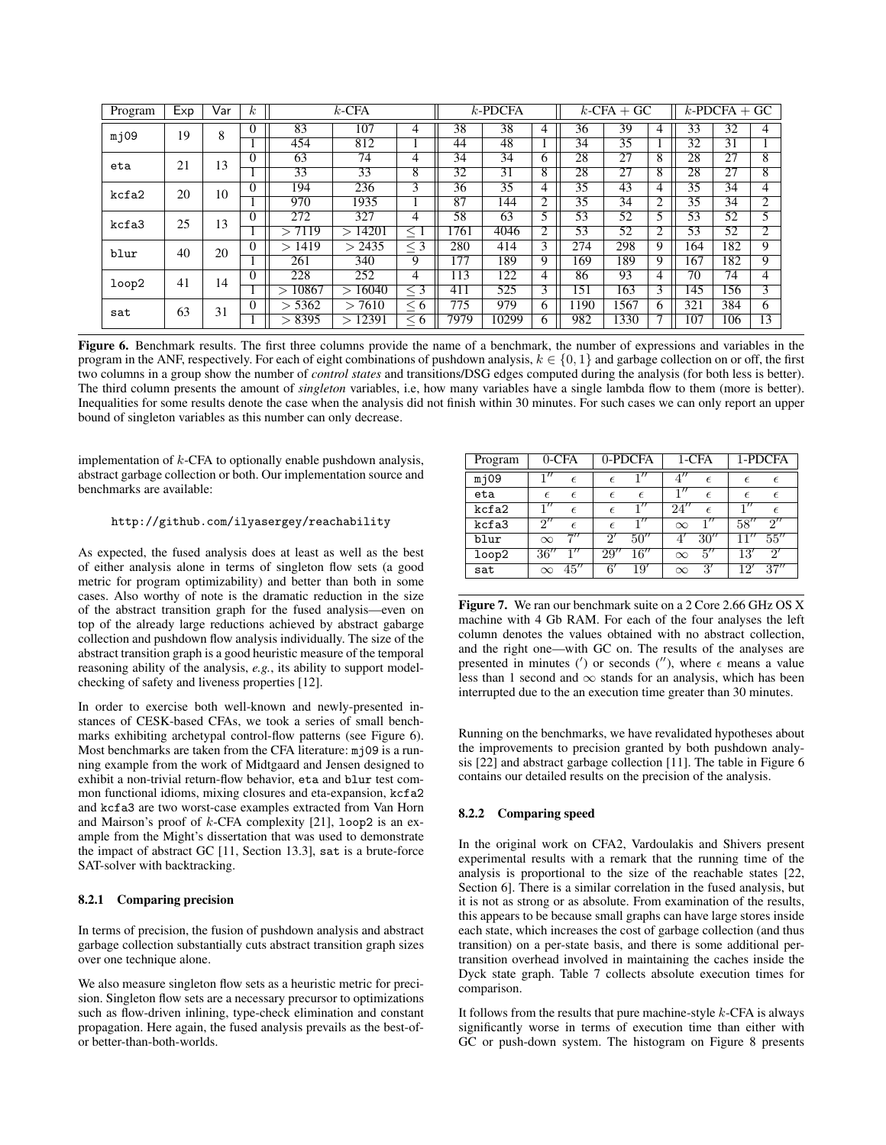| Program | Exp | √ar | $\kappa$        | $k$ -CFA         |                 |                 | $k$ -PDCFA |            |                | $k$ -CFA + GC   |       |                | $k$ -PDCFA + GC |                |                |      |     |     |     |   |
|---------|-----|-----|-----------------|------------------|-----------------|-----------------|------------|------------|----------------|-----------------|-------|----------------|-----------------|----------------|----------------|------|-----|-----|-----|---|
| m109    | 19  | 8   | $\theta$        | 83               | 107             | 4               | 38         | 38         | 4              | 36              | 39    | 4              | 33              | 32             | 4              |      |     |     |     |   |
|         |     |     |                 | 454              | 812             |                 | 44         | 48         |                | 34              | 35    |                | 32              | 31             |                |      |     |     |     |   |
| eta     | 21  | 13  | $\Omega$        | 63               | 74              | $\overline{4}$  | 34         | 34         | 6              | 28              | 27    | 8              | 28              | 27             | 8              |      |     |     |     |   |
|         |     |     | $\overline{33}$ | 33               | 8               | 32              | 31         | 8          | 28             | 27              | 8     | 28             | 27              | $\overline{8}$ |                |      |     |     |     |   |
| kcfa2   | 20  | 10  | $\Omega$        | 194              | 236             | 3               | 36         | 35         | 4              | 35              | 43    | 4              | 35              | 34             | 4              |      |     |     |     |   |
|         |     |     | 970             | 1935             |                 | 87              | 144        | 2          | 35             | 34              | 2     | 35             | 34              | $\bigcap$      |                |      |     |     |     |   |
| kcfa3   | 25  | 13  | $\Omega$        | $2\overline{72}$ | 327             | 4               | 58         | 63         | 5              | 53              | 52    | 5              | 53              | 52             | 5              |      |     |     |     |   |
|         |     |     |                 | 7119<br>↘        | 14201<br>$\geq$ | $<\,1$          | 1761       | 4046       | 2              | 53              | 52    | 2              | 53              | 52             | 2              |      |     |     |     |   |
| blur    | 40  | 20  |                 | >1419            | 2435<br>$\gt$   | $<$ 3           | 280        | 414        | 3              | $2\overline{7}$ | 298   | 9              | 164             | 182            | 9              |      |     |     |     |   |
|         |     |     |                 | 261              | 340             | $\overline{Q}$  | 177        | 189        | $\overline{Q}$ | 169             | 189   | 9              | 167             | 182            | $\overline{Q}$ |      |     |     |     |   |
| loop2   |     | 41  | 14              | $\Omega$         | 228             | 252             | 4          | 13         | 122            | 4               | 86    | 93             | 4               | 70             | 74             | 4    |     |     |     |   |
|         |     |     |                 | 10867<br>↘       | 16040<br>$\geq$ | $\overline{<}3$ | 411        | 525        | 3              | 151             | 163   | $\overline{3}$ | 145             | 156            | 3              |      |     |     |     |   |
| sat     | 63  |     |                 |                  |                 |                 | 31         |            | > 5362         | 7610<br>$\gt$   | < ი   | 775            | 979             | 6              | 190            | 1567 | 6   | 321 | 384 | 6 |
|         |     |     |                 |                  |                 |                 | > 8395     | 12391<br>↘ | < 6            | 7979            | 10299 | 6              | 982             | 330            |                | 107  | 106 | 13  |     |   |

Figure 6. Benchmark results. The first three columns provide the name of a benchmark, the number of expressions and variables in the program in the ANF, respectively. For each of eight combinations of pushdown analysis,  $k \in \{0, 1\}$  and garbage collection on or off, the first two columns in a group show the number of *control states* and transitions/DSG edges computed during the analysis (for both less is better). The third column presents the amount of *singleton* variables, i.e, how many variables have a single lambda flow to them (more is better). Inequalities for some results denote the case when the analysis did not finish within 30 minutes. For such cases we can only report an upper bound of singleton variables as this number can only decrease.

implementation of  $k$ -CFA to optionally enable pushdown analysis, abstract garbage collection or both. Our implementation source and benchmarks are available:

#### http://github.com/ilyasergey/reachability

As expected, the fused analysis does at least as well as the best of either analysis alone in terms of singleton flow sets (a good metric for program optimizability) and better than both in some cases. Also worthy of note is the dramatic reduction in the size of the abstract transition graph for the fused analysis—even on top of the already large reductions achieved by abstract gabarge collection and pushdown flow analysis individually. The size of the abstract transition graph is a good heuristic measure of the temporal reasoning ability of the analysis, *e.g.*, its ability to support modelchecking of safety and liveness properties [12].

In order to exercise both well-known and newly-presented instances of CESK-based CFAs, we took a series of small benchmarks exhibiting archetypal control-flow patterns (see Figure 6). Most benchmarks are taken from the CFA literature: mj09 is a running example from the work of Midtgaard and Jensen designed to exhibit a non-trivial return-flow behavior, eta and blur test common functional idioms, mixing closures and eta-expansion, kcfa2 and kcfa3 are two worst-case examples extracted from Van Horn and Mairson's proof of  $k$ -CFA complexity [21], loop2 is an example from the Might's dissertation that was used to demonstrate the impact of abstract GC [11, Section 13.3], sat is a brute-force SAT-solver with backtracking.

#### 8.2.1 Comparing precision

In terms of precision, the fusion of pushdown analysis and abstract garbage collection substantially cuts abstract transition graph sizes over one technique alone.

We also measure singleton flow sets as a heuristic metric for precision. Singleton flow sets are a necessary precursor to optimizations such as flow-driven inlining, type-check elimination and constant propagation. Here again, the fused analysis prevails as the best-ofor better-than-both-worlds.

| Program |                  | $0$ -CFA            |                | 0-PDCFA                     |          | 1-CFA              |            | 1-PDCFA           |
|---------|------------------|---------------------|----------------|-----------------------------|----------|--------------------|------------|-------------------|
| mj09    | $\mathbf{1}''$   | $\epsilon$          | $\epsilon$     |                             |          | $\epsilon$         | $\epsilon$ | $\epsilon$        |
| eta     | $\epsilon$       | $\epsilon$          | $\epsilon$     | $\epsilon$                  |          | $\epsilon$         | $\epsilon$ | $\epsilon$        |
| kcfa2   | $\overline{1}''$ | $\epsilon$          | $\epsilon$     | $\overline{1}''$            | 24''     | $\epsilon$         |            | F                 |
| kcfa3   | 2''              | $\epsilon$          | $\epsilon$     | $\mathbf{1}^{\prime\prime}$ | $\infty$ |                    | 58''       | 2''               |
| blur    | $\infty$         | 777                 | $\mathcal{D}'$ | 50''                        |          | $\overline{30}$ "  | 11''       | 55''              |
| loop2   | 36''             | 1''                 | 29''           | 16''                        | $\infty$ | $5^{\prime\prime}$ | 13'        | 2'                |
| sat     | $\infty$         | $45^{\prime\prime}$ | $6^{\prime}$   | 19′                         | $\infty$ | 3'                 | 12'        | $\overline{37}''$ |

Figure 7. We ran our benchmark suite on a 2 Core 2.66 GHz OS X machine with 4 Gb RAM. For each of the four analyses the left column denotes the values obtained with no abstract collection, and the right one—with GC on. The results of the analyses are presented in minutes (') or seconds (''), where  $\epsilon$  means a value less than 1 second and  $\infty$  stands for an analysis, which has been interrupted due to the an execution time greater than 30 minutes.

Running on the benchmarks, we have revalidated hypotheses about the improvements to precision granted by both pushdown analysis [22] and abstract garbage collection [11]. The table in Figure 6 contains our detailed results on the precision of the analysis.

#### 8.2.2 Comparing speed

In the original work on CFA2, Vardoulakis and Shivers present experimental results with a remark that the running time of the analysis is proportional to the size of the reachable states [22, Section 6]. There is a similar correlation in the fused analysis, but it is not as strong or as absolute. From examination of the results, this appears to be because small graphs can have large stores inside each state, which increases the cost of garbage collection (and thus transition) on a per-state basis, and there is some additional pertransition overhead involved in maintaining the caches inside the Dyck state graph. Table 7 collects absolute execution times for comparison.

It follows from the results that pure machine-style  $k$ -CFA is always significantly worse in terms of execution time than either with GC or push-down system. The histogram on Figure 8 presents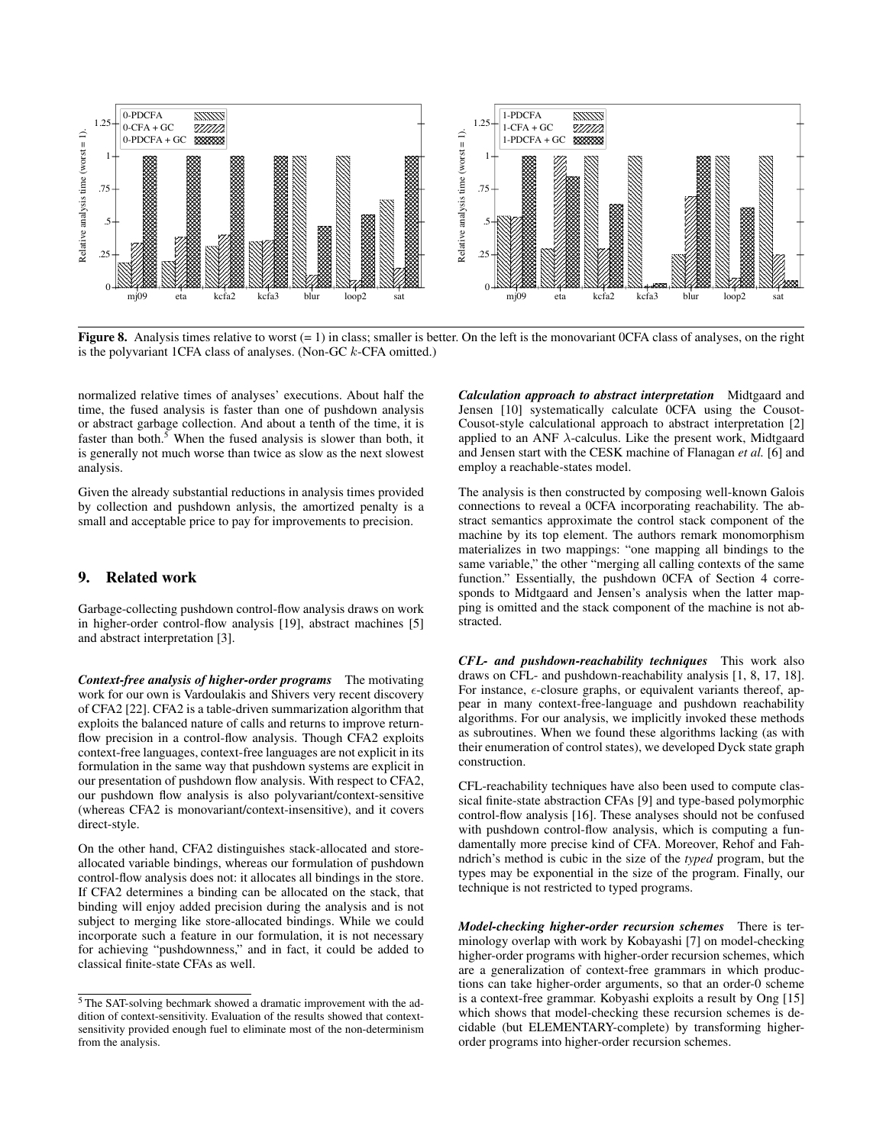

Figure 8. Analysis times relative to worst  $(= 1)$  in class; smaller is better. On the left is the monovariant OCFA class of analyses, on the right is the polyvariant 1CFA class of analyses. (Non-GC  $k$ -CFA omitted.)

normalized relative times of analyses' executions. About half the time, the fused analysis is faster than one of pushdown analysis or abstract garbage collection. And about a tenth of the time, it is faster than both.<sup>5</sup> When the fused analysis is slower than both, it is generally not much worse than twice as slow as the next slowest analysis.

Given the already substantial reductions in analysis times provided by collection and pushdown anlysis, the amortized penalty is a small and acceptable price to pay for improvements to precision.

#### $\mathbf{Q}_1$ **Related work**

Garbage-collecting pushdown control-flow analysis draws on work in higher-order control-flow analysis [19], abstract machines [5] and abstract interpretation [3].

**Context-free analysis of higher-order programs** The motivating work for our own is Vardoulakis and Shivers very recent discovery of CFA2 [22]. CFA2 is a table-driven summarization algorithm that exploits the balanced nature of calls and returns to improve returnflow precision in a control-flow analysis. Though CFA2 exploits context-free languages, context-free languages are not explicit in its formulation in the same way that pushdown systems are explicit in our presentation of pushdown flow analysis. With respect to CFA2, our pushdown flow analysis is also polyvariant/context-sensitive (whereas CFA2 is monovariant/context-insensitive), and it covers direct-style.

On the other hand, CFA2 distinguishes stack-allocated and storeallocated variable bindings, whereas our formulation of pushdown control-flow analysis does not: it allocates all bindings in the store. If CFA2 determines a binding can be allocated on the stack, that binding will enjoy added precision during the analysis and is not subject to merging like store-allocated bindings. While we could incorporate such a feature in our formulation, it is not necessary for achieving "pushdownness," and in fact, it could be added to classical finite-state CFAs as well.

Calculation approach to abstract interpretation Midtgaard and Jensen [10] systematically calculate 0CFA using the Cousot-Cousot-style calculational approach to abstract interpretation [2] applied to an ANF  $\lambda$ -calculus. Like the present work, Midtgaard and Jensen start with the CESK machine of Flanagan et al. [6] and employ a reachable-states model.

The analysis is then constructed by composing well-known Galois connections to reveal a OCFA incorporating reachability. The abstract semantics approximate the control stack component of the machine by its top element. The authors remark monomorphism materializes in two mappings: "one mapping all bindings to the same variable," the other "merging all calling contexts of the same function." Essentially, the pushdown OCFA of Section 4 corresponds to Midtgaard and Jensen's analysis when the latter mapping is omitted and the stack component of the machine is not abstracted.

CFL- and pushdown-reachability techniques This work also draws on CFL- and pushdown-reachability analysis [1, 8, 17, 18]. For instance,  $\epsilon$ -closure graphs, or equivalent variants thereof, appear in many context-free-language and pushdown reachability algorithms. For our analysis, we implicitly invoked these methods as subroutines. When we found these algorithms lacking (as with their enumeration of control states), we developed Dyck state graph construction

CFL-reachability techniques have also been used to compute classical finite-state abstraction CFAs [9] and type-based polymorphic control-flow analysis [16]. These analyses should not be confused with pushdown control-flow analysis, which is computing a fundamentally more precise kind of CFA. Moreover, Rehof and Fahndrich's method is cubic in the size of the typed program, but the types may be exponential in the size of the program. Finally, our technique is not restricted to typed programs.

Model-checking higher-order recursion schemes There is terminology overlap with work by Kobayashi [7] on model-checking higher-order programs with higher-order recursion schemes, which are a generalization of context-free grammars in which productions can take higher-order arguments, so that an order-0 scheme is a context-free grammar. Kobyashi exploits a result by Ong [15] which shows that model-checking these recursion schemes is decidable (but ELEMENTARY-complete) by transforming higherorder programs into higher-order recursion schemes.

<sup>&</sup>lt;sup>5</sup> The SAT-solving bechmark showed a dramatic improvement with the addition of context-sensitivity. Evaluation of the results showed that contextsensitivity provided enough fuel to eliminate most of the non-determinism from the analysis.